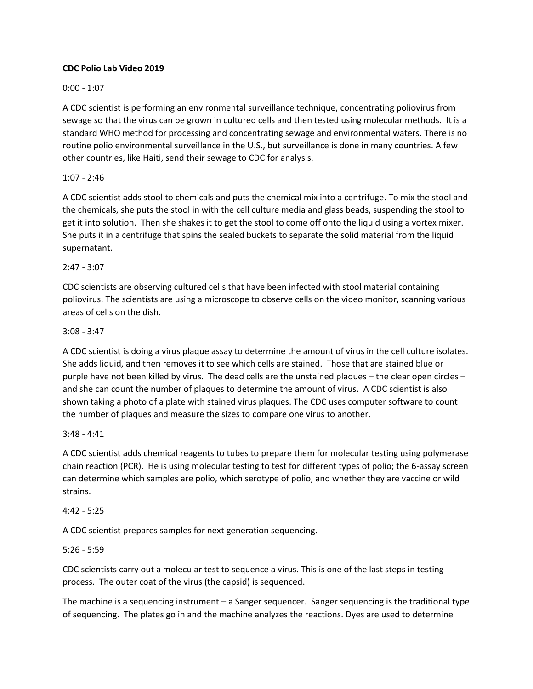### **CDC Polio Lab Video 2019**

# 0:00 - 1:07

A CDC scientist is performing an environmental surveillance technique, concentrating poliovirus from sewage so that the virus can be grown in cultured cells and then tested using molecular methods. It is a standard WHO method for processing and concentrating sewage and environmental waters. There is no routine polio environmental surveillance in the U.S., but surveillance is done in many countries. A few other countries, like Haiti, send their sewage to CDC for analysis.

## 1:07 - 2:46

A CDC scientist adds stool to chemicals and puts the chemical mix into a centrifuge. To mix the stool and the chemicals, she puts the stool in with the cell culture media and glass beads, suspending the stool to get it into solution. Then she shakes it to get the stool to come off onto the liquid using a vortex mixer. She puts it in a centrifuge that spins the sealed buckets to separate the solid material from the liquid supernatant.

## 2:47 - 3:07

CDC scientists are observing cultured cells that have been infected with stool material containing poliovirus. The scientists are using a microscope to observe cells on the video monitor, scanning various areas of cells on the dish.

## 3:08 - 3:47

A CDC scientist is doing a virus plaque assay to determine the amount of virus in the cell culture isolates. She adds liquid, and then removes it to see which cells are stained. Those that are stained blue or purple have not been killed by virus. The dead cells are the unstained plaques – the clear open circles – and she can count the number of plaques to determine the amount of virus. A CDC scientist is also shown taking a photo of a plate with stained virus plaques. The CDC uses computer software to count the number of plaques and measure the sizes to compare one virus to another.

#### 3:48 - 4:41

A CDC scientist adds chemical reagents to tubes to prepare them for molecular testing using polymerase chain reaction (PCR). He is using molecular testing to test for different types of polio; the 6-assay screen can determine which samples are polio, which serotype of polio, and whether they are vaccine or wild strains.

#### $4:42 - 5:25$

A CDC scientist prepares samples for next generation sequencing.

#### 5:26 - 5:59

CDC scientists carry out a molecular test to sequence a virus. This is one of the last steps in testing process. The outer coat of the virus (the capsid) is sequenced.

The machine is a sequencing instrument – a Sanger sequencer. Sanger sequencing is the traditional type of sequencing. The plates go in and the machine analyzes the reactions. Dyes are used to determine